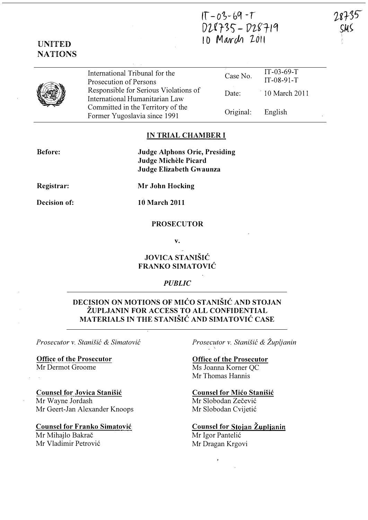# $IT - 03 - 69 - T$ D�fr?') - f}��Tlq 10 March 2011

78735

# UNITED **NATIONS**

|--|--|

International Tribunal for the Prosecution of Persons  $\frac{\text{IT-03-69-T}}{\text{Case No}}$  $IT-08-91-T$ Responsible for Serious Violations of International Humanitarian Law Committed in the Territory of the Former Yugoslavia since 1991 Date: Original: 10 March 2011 English

### IN TRIAL CHAMBER I

Before:

Judge Alphons Orie, Presiding Judge Michele Picard Judge Elizabeth Gwaunza

Registrar:

Mr John Hocking

Decision of:

10 March 2011

### PROSECUTOR

v.

## JOVICA STANISIC FRANKO SIMATOVIC

### PUBLIC

### DECISION ON MOTIONS OF MICO STANISIC AND STOJAN ZUPLJANIN FOR ACCESS TO ALL CONFIDENTIAL MATERIALS IN THE STANISIC AND SIMATOVIC CASE

Prosecutor v. Stanišić & Simatović

Office of the Prosecutor Mr Dermot Groome

Counsel for Jovica Stanisic Mr Wayne Jordash Mr Geert-Jan Alexander Knoops

Counsel for Franko Simatovic Mr Mihajlo Bakrač Mr Vladimir Petrović

Prosecutor v. Stanišić & Župljanin \

Office of the Prosecutor Ms Joanna Korner OC

Mr Thomas Hannis

Counsel for Mico Stanisic

Mr Slobodan Zečević Mr Slobodan Cvijetić

# Counsel for Stojan Župljanin

Mr Igor Pantelić Mr Dragan Krgovi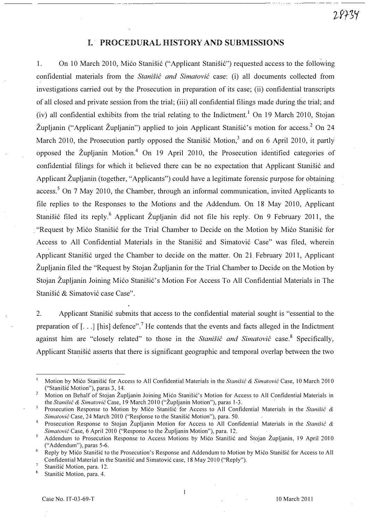#### I. PROCEDURAL HISTORY AND SUBMISSIONS

1. On 10 March 2010, Mićo Stanišić ("Applicant Stanišić") requested access to the following confidential materials from the Stanišić and Simatović case: (i) all documents collected from investigations carried out by the Prosecution in preparation of its case; (ii) confidential transcripts of all closed and private session from the trial; (iii) all confidential filings made during the trial; and (iv) all confidential exhibits from the trial relating to the Indictment.<sup>1</sup> On 19 March 2010, Stojan Župljanin ("Applicant Župljanin") applied to join Applicant Stanišić's motion for access.<sup>2</sup> On 24 March 2010, the Prosecution partly opposed the Stanistic Motion, $3$  and on 6 April 2010, it partly opposed the Zupljanin Motion.4 On 19 April 2010, the Prosecution identified categories of confidential filings for which it believed there can be no expectation that Applicant Stanisić and Applicant Zupljanin (together, "Applicants") could have a legitimate forensic purpose for obtaining access.<sup>5</sup> On 7 May 2010, the Chamber, through an informal communication, invited Applicants to file replies to the Responses to the Motions and the Addendum. On 18 May 2010, Applicant Stanišić filed its reply.<sup>6</sup> Applicant Župljanin did not file his reply. On 9 February 2011, the "Request by Mićo Stanišić for the Trial Chamber to Decide on the Motion by Mićo Stanišić for Access to All Confidential Materials in the Stanišić and Simatović Case" was filed, wherein Applicant Stanišić urged the Chamber to decide on the matter. On 21 February 2011, Applicant Zupljanin filed the "Request by Stojan Zupljanin for the Trial Chamber to Decide on the Motion by Stojan Župljanin Joining Mićo Stanišić's Motion For Access To All Confidential Materials in The Stanišić & Simatović case Case".

2. Applicant Stanisić submits that access to the confidential material sought is "essential to the preparation of  $[$ ...] [his] defence".<sup>7</sup> He contends that the events and facts alleged in the Indictment against him are "closely related" to those in the Stanistic and Simatovic case.<sup>8</sup> Specifically, Applicant Stanišić asserts that there is significant geographic and temporal overlap between the two

 $\mathbf{1}$ 

Motion by Mićo Stanišić for Access to All Confidential Materials in the Stanišić & Simatović Case, 10 March 2010 ("Stanisic Motion"), paras 3, 14.

<sup>&</sup>lt;sup>2</sup> Motion on Behalf of Stojan Župljanin Joining Mićo Stanišić's Motion for Access to All Confidential Materials in the Stanišić & Simatović Case, 19 March 2010 ("Župljanin Motion"), paras 1-3.

<sup>&</sup>lt;sup>3</sup> Prosecution Response to Motion by Mićo Stanišic for Access to All Confidential Materials in the Stanišic & Simatović Case, 24 March 2010 ("Response to the Stanišić Motion"), para. 50.

<sup>&</sup>lt;sup>4</sup> Prosecution Response to Stojan Župljanin Motion for Access to All Confidential Materials in the Stanišić & Simatović Case, 6 April 2010 ("Response to the Župljanin Motion"), para. 12.

Addendum to Prosecution Response to Access Motions by Mico Stanišic and Stojan Župljanin, 19 April 2010 ("Addendum"), paras 5-6. �

Reply by Mico Stanišic to the Prosecution's Response and Addendum to Motion by Mico Stanišic for Access to All Confidential Material in the Stanisic and Simatovic case, 18 May 2010 ("Reply").

Stanišić Motion, para. 12.

Stanišić Motion, para. 4.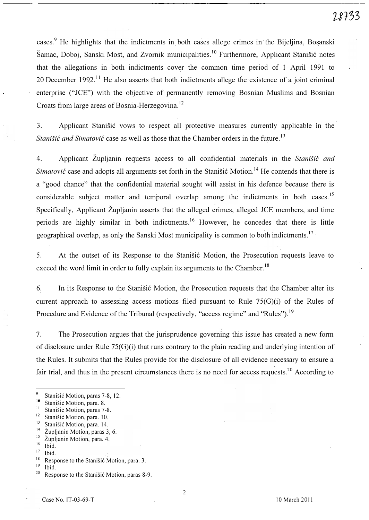cases.<sup>9</sup> He highlights that the indictments in both cases allege crimes in the Bijeljina, Bosanski Šamac, Doboj, Sanski Most, and Zvornik municipalities.<sup>10</sup> Furthermore, Applicant Stanišić notes that the allegations in both indictments cover the common time period of 1 April 1991 to 20 December 1992.<sup>11</sup> He also asserts that both indictments allege the existence of a joint criminal enterprise ("JCE") with the objective of permanently removing Bosnian Muslims and Bosnian Croats from large areas of Bosnia-Herzegovina.<sup>12</sup>

3. Applicant Stanišić vows to respect all protective measures currently applicable in the Stanišić and Simatović case as well as those that the Chamber orders in the future.<sup>13</sup>

4. Applicant Župljanin requests access to all confidential materials in the Stanistic and Simatović case and adopts all arguments set forth in the Stanisić Motion.<sup>14</sup> He contends that there is a "good chance" that the confidential material sought will assist in his defence because there is considerable subject matter and temporal overlap among the indictments in both cases.<sup>15</sup> Specifically, Applicant Župljanin asserts that the alleged crimes, alleged JCE members, and time periods are highly similar in both indictments.<sup>16</sup> However, he concedes that there is little geographical overlap, as only the Sanski Most municipality is common to both indictments.<sup>17</sup>

5. At the outset of its Response to the Stanisic Motion, the Prosecution requests leave to exceed the word limit in order to fully explain its arguments to the Chamber.<sup>18</sup>

6. In its Response to the Stanisic Motion, the Prosecution requests that the Chamber alter its current approach to assessing access motions filed pursuant to Rule  $75(G)(i)$  of the Rules of Procedure and Evidence of the Tribunal (respectively, "access regime" and "Rules").<sup>19</sup>

7. The Prosecution argues that the jurisprudence governing this issue has created a new form of disclosure under Rule 75(G)(i) that runs contrary to the plain reading and underlying intention of the Rules. It submits that the Rules provide for the disclosure of all evidence necessary to ensure a fair trial, and thus in the present circumstances there is no need for access requests.<sup>20</sup> According to

- <sup>13</sup> Stanišić Motion, para. 14.
- <sup>14</sup> Župljanin Motion, paras 3, 6.<br><sup>15</sup> Župljanin Motion, para*s* 4.

2

<sup>&</sup>lt;sup>9</sup> Stanišić Motion, paras 7-8, 12.

<sup>&</sup>lt;sup>10</sup> Stanišić Motion, para. 8.

Stanišić Motion, paras 7-8.

<sup>&</sup>lt;sup>12</sup> Stanišić Motion, para. 10.

 $\sum_{16}$  Zupljanin Motion, para. 4.

 $\frac{16}{17}$  Ibid.

 $\frac{17}{18}$  lbid. <sup>18</sup> Response to the Stanisic Motion, para. 3.

 $\frac{19}{20}$  Ibid.

Response to the Stanišić Motion, paras 8-9.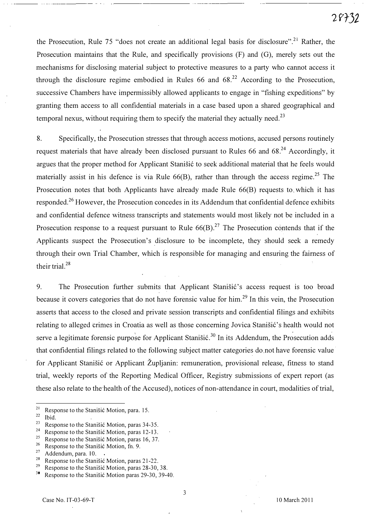the Prosecution, Rule 75 "does not create an additional legal basis for disclosure".<sup>21</sup> Rather, the Prosecution maintains that the Rule, and specifically provisions (F) and (G), merely sets out the mechanisms for disclosing material subject to protective measures to a party who cannot access it through the disclosure regime embodied in Rules 66 and  $68<sup>22</sup>$  According to the Prosecution, successive Chambers have impermissibly allowed applicants to engage in "fishing expeditions" by granting them access to all confidential materials in a case based upon a shared geographical and temporal nexus, without requiring them to specify the material they actually need.<sup>23</sup>

8. Specifically, the Prosecution stresses that through access motions, accused persons routinely request materials that have already been disclosed pursuant to Rules 66 and 68.<sup>24</sup> Accordingly, it argues that the proper method for Applicant Stanisić to seek additional material that he feels would materially assist in his defence is via Rule  $66(B)$ , rather than through the access regime.<sup>25</sup> The Prosecution notes that both Applicants have already made Rule 66(B) requests to which it has responded.<sup>26</sup> However, the Prosecution concedes in its Addendum that confidential defence exhibits and confidential defence witness transcripts and statements would most likely not be included in a Prosecution response to a request pursuant to Rule  $66(B)$ .<sup>27</sup> The Prosecution contends that if the Applicants suspect the Prosecution's disclosure to be incomplete, they should seek a remedy through their own Trial Chamber, which is responsible for managing and ensuring the fairness of their trial. $28$ 

9. The Prosecution further submits that Applicant Stanistic's access request is too broad because it covers categories that do not have forensic value for him.<sup>29</sup> In this vein, the Prosecution asserts that access to the closed and private session transcripts and confidential filings and exhibits relating to alleged crimes in Croatia as well as those concerning Jovica Stanišić's health would not serve a legitimate forensic purpose for Applicant Stanišić.<sup>30</sup> In its Addendum, the Prosecution adds that confidential filings related to the following subject matter categories do.not have forensic value· for Applicant Stanišić or Applicant Župljanin: remuneration, provisional release, fitness to stand trial, weekly reports of the Reporting Medical Officer, Registry submissions of expert report (as these also relate to the· health of the Accused), notices of non-attendance in court, modalities of trial,

 $\frac{21}{22}$ Response to the Stanišić Motion, para. 15.

 $\frac{22}{23}$  Ibid.

<sup>&</sup>lt;sup>23</sup> Response to the Stanisic Motion, paras 34-35.

<sup>&</sup>lt;sup>24</sup> Response to the Stanisic Motion, paras 12-13.<br><sup>25</sup> Perpanea to the Stanisic Motion, paras 16, 27.

<sup>&</sup>lt;sup>25</sup> Response to the Stanisic Motion, paras 16, 37.

<sup>&</sup>lt;sup>26</sup> Response to the Stanisic Motion, fn. 9.

<sup>&</sup>lt;sup>27</sup> Addendum, para. 10.

<sup>&</sup>lt;sup>28</sup> Response to the Stanisic Motion, paras 21-22.<br><sup>29</sup> Personal to the Stanisic Motion, name 28, 20.

<sup>&</sup>lt;sup>29</sup> Response to the Stanisic Motion, paras 28-30, 38.<br><sup>30</sup> Response to the Stanisic Motion paras 29-30, 39-4

Response to the Stanisic Motion paras 29-30, 39-40.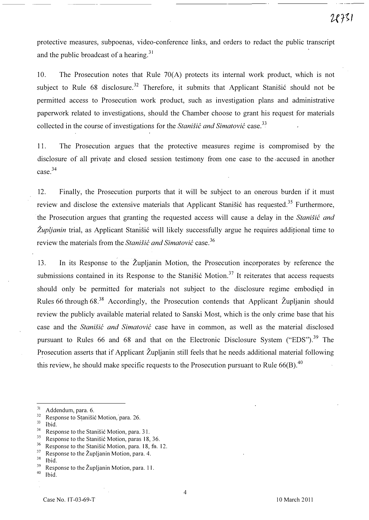protective measures, subpoenas, video-conference links, and orders to redact the public transcript and the public broadcast of a hearing.<sup>31</sup>

10. The Prosecution notes that Rule 70(A) protects its internal work product, which is not subject to Rule 68 disclosure.<sup>32</sup> Therefore, it submits that Applicant Stanišić should not be permitted access to Prosecution work product, such as investigation plans and administrative paperwork related to investigations, should the Chamber choose to grant his request for materials collected in the course of investigations for the Stanistic and Simatovic case.<sup>33</sup>

11. The Prosecution argues that the protective measures regime is compromised by the disclosure of all private and closed session testimony from one case to the . accused in another case.34

12. Finally, the Prosecution purports that it will be subject to an onerous burden if it must review and disclose the extensive materials that Applicant Stanišić has requested.<sup>35</sup> Furthermore, the Prosecution argues that granting the requested access will cause a delay in the Stanistic and  $\tilde{Z}$ upljanin trial, as Applicant Stanišić will likely successfully argue he requires additional time to review the materials from the *Stanišić and Simatović* case.<sup>36</sup>

13. In its Response to the Zupljanin Motion, the Prosecution incorporates by reference the submissions contained in its Response to the Stanistic Motion.<sup>37</sup> It reiterates that access requests should only be permitted for materials not subject to the disclosure regime embodied in Rules 66 through 68.<sup>38</sup> Accordingly, the Prosecution contends that Applicant Župljanin should review the publicly available material related to Sanski Most, which is the only crime base that his case and the Stanišić and Simatović case have in common, as well as the material disclosed pursuant to Rules 66 and 68 and that on the Electronic Disclosure System ("EDS").<sup>39</sup> The Prosecution asserts that if Applicant Župljanin still feels that he needs additional material following this review, he should make specific requests to the Prosecution pursuant to Rule  $66(B)$ <sup>40</sup>

 $\frac{33}{34}$  Ibid.

 $rac{38}{39}$  Ibid.

 $^{31}$  Addendum, para. 6.<br> $^{32}$  Personse to Stanišis

 $\frac{32}{22}$  Response to Stanisic Motion, para. 26.

<sup>&</sup>lt;sup>34</sup> Response to the Stanisic Motion, para. 31.

<sup>&</sup>lt;sup>35</sup> Response to the Stanisić Motion, paras 18, 36.<br><sup>36</sup> Perponse to the Stanišić Motion, para 18, fp.

<sup>&</sup>lt;sup>36</sup> Response to the Stanisić Motion, para. 18, fu. 12.<br><sup>37</sup> Personal to the Žunlignin Motion, name 4.

<sup>&</sup>lt;sup>37</sup> Response to the Župljanin Motion, para. 4.<br><sup>38</sup> Heid

<sup>&</sup>lt;sup>39</sup> Response to the Župljanin Motion, para. 11.

Ibid.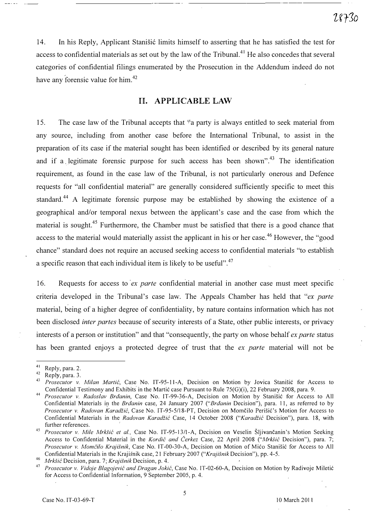14. In his Reply, Applicant Stanisić limits himself to asserting that he has satisfied the test for access to confidential materials as set out by the law of the Tribunal.<sup>41</sup> He also concedes that several categories of confidential filings enumerated by the Prosecution in the Addendum indeed do not have any forensic value for him.<sup>42</sup>

### II. APPLICABLE LAW

15. The case law of the Tribunal accepts that "a party is always entitled to seek material from any source, including from another case before the International Tribunal, to assist in the preparation of its case if the material sought has been identified or described by its general nature and if a legitimate forensic purpose for such access has been shown".<sup>43</sup> The identification requirement, as found in the case law of the Tribunal, is not particularly onerous and Defence requests for "all confidential material" are generally considered sufficiently specific to meet this standard.<sup>44</sup> A legitimate forensic purpose may be established by showing the existence of a geographical and/or temporal nexus between the applicant's case and the case from which the material is sought.<sup>45</sup> Furthermore, the Chamber must be satisfied that there is a good chance that access to the material would materially assist the applicant in his or her case.<sup>46</sup> However, the "good chance" standard does not require an accused seeking access to confidential materials "to establish a specific reason that each individual item is likely to be useful".<sup>47</sup>

16. Requests for access to ex parte confidential material in another case must meet specific criteria developed in the Tribunal's case law. The Appeals Chamber has held that "ex parte material, being of a higher degree of confidentiality, by nature contains information which has not been disclosed *inter partes* because of security interests of a State, other public interests, or privacy interests of a person or institution" and that "consequently, the party on whose behalf ex parte status has been granted enjoys a protected degree of trust that the ex parte material will not be

<sup>&</sup>lt;sup>41</sup> Reply, para. 2.

 $^{42}$  Reply, para. 3.

Prosecutor v. Milan Martić, Case No. IT-95-11-A, Decision on Motion by Jovica Stanišić for Access to Confidential Testimony and Exhibits in the Martić case Pursuant to Rule 75(G)(i), 22 February 2008, para. 9.

<sup>&</sup>lt;sup>44</sup> Prosecutor v. Radoslav Brđanin, Case No. IT-99-36-A, Decision on Motion by Stanišić for Access to All Confidential Materials in the Brdanin case, 24 January 2007 ("Brdanin Decision"), para. 11, as referred to by Prosecutor v. Radovan Karadžić, Case No. IT-95-5/18-PT, Decision on Momčilo Perišić's Motion for Access to Confidential Materials in the Radovan Karadžić Case, 14 October 2008 ("Karadžić Decision"), para. 18, with further references.

<sup>45</sup> Prosecutor v. Mile Mrkšić et al., Case No. IT-95-13/1-A, Decision on Veselin Šljivančanin's Motion Seeking Access to Confidential Material in the Kordić and Čerkez Case, 22 April 2008 ("Mrkšić Decision"), para. 7; Prosecutor v. Momčilo Krajišnik, Case No. IT-00-30-A, Decision on Motion of Mićo Stanišić for Access to All Confidential Materials in the Krajišnik case, 21 February 2007 ("Krajišnik Decision"), pp. 4-5.

<sup>&</sup>lt;sup>46</sup> *Mrkšić* Decision, para. 7; *Krajišnik* Decision, p. 4.

Prosecutor v. Vidoje Blagojević and Dragan Jokić, Case No. IT-02-60-A, Decision on Motion by Radivoje Miletić for Access to Confidential Information, 9 September 200S, p. 4.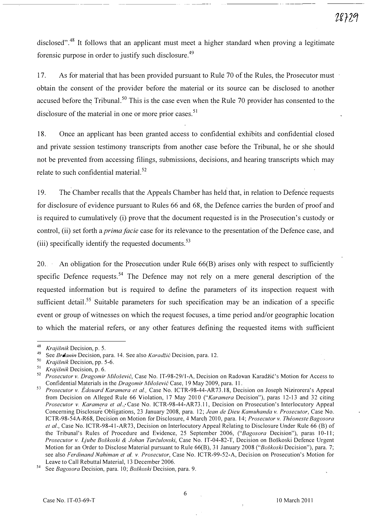disclosed".<sup>48</sup> It follows that an applicant must meet a higher standard when proving a legitimate forensic purpose in order to justify such disclosure.<sup>49</sup>

17. As for material that has been provided pursuant to Rule 70 of the Rules, the Prosecutor must obtain the consent of the provider before the material or its source can be disclosed to another accused before the Tribunal.<sup>50</sup> This is the case even when the Rule 70 provider has consented to the disclosure of the material in one or more prior cases.<sup>51</sup>

18. Once an applicant has been granted access to confidential exhibits and confidential closed and private session testimony transcripts from another case before the Tribunal, he or she should not be prevented from accessing filings, submissions, decisions, and hearing transcripts which may relate to such confidential material.<sup>52</sup>

19. The Chamber recalls that the Appeals Chamber has held that, in relation to Defence requests for disclosure of evidence pursuant to Rules 66 and 68, the Defence carries the burden of proof and is required to cumulatively (i) prove that the document requested is in the Prosecution's custody or control, (ii) set forth a *prima facie* case for its relevance to the presentation of the Defence case, and (iii) specifically identify the requested documents.<sup>53</sup>

20. An obligation for the Prosecution under Rule 66(B) arises only with respect to sufficiently specific Defence requests.<sup>54</sup> The Defence may not rely on a mere general description of the requested information but is required to define the parameters of its inspection request with sufficient detail.<sup>55</sup> Suitable parameters for such specification may be an indication of a specific event or group of witnesses on which the request focuses, a time period and/or geographic location to which the material refers, or any other features defining the requested items with sufficient

<sup>&</sup>lt;sup>48</sup> Krajišnik Decision, p. 5.<br><sup>49</sup> Sea *Primarin* Decision p.

See Brdanin Decision, para. 14. See also Karadžić Decision, para. 12.

 $50$  Krajišnik Decision, pp. 5-6.

<sup>&</sup>lt;sup>51</sup> Krajišnik Decision, p. 6.

<sup>52</sup> Prosecutor v. Dragomir Milošević, Case No. IT-98-29/1-A, Decision on Radovan Karadžić's Motion for Access to Confidential Materials in the Dragomir Milošević Case, 19 May 2009, para. 11.

<sup>53</sup> Prosecutor v. Édouard Karamera et al., Case No. ICTR-98-44-AR73.18, Decision on Joseph Nizirorera's Appeal from Decision on Alleged Rule 66 Violation, 17 May 2010 ("Karamera Decision"), paras 12-13 and 32 citing Prosecutor v. Karamera et al., Case No. ICTR-98-44-AR73.11, Decision on Prosecution's Interlocutory Appeal Concerning Disclosure Obligations, 23 January 200S, para. 12; Jean de Dieu Kamuhanda v. Prosecutor, Case No. ICTR-9S-54A-R6S, Decision on Motion for Disclosure, 4 March 2010, para. 14; Prosecutor v. Theoneste Bagosora et al., Case No. ICTR-9S-4I-AR73, Decision on Interlocutory Appeal Re'lating to Disclosure Under Rule 66 (B) of the Tribunal's Rules of Procedure and Evidence, 25 September 2006, ("Bagosora Decision"), paras 10-11; Prosecutor v. Ljube Boškoski & Johan Tarčulovski, Case No. IT-04-82-T, Decision on Boškoski Defence Urgent Motion for an Order to Disclose Material pursuant to Rule 66(B), 31 January 2008 ("Boškoski Decision"), para. 7; see also Ferdinand Nahiman et al. v. Prosecutor, Case No. ICTR-99-52-A, Decision on Prosecution's Motion for Leave to Call Rebuttal Material, 13 December 2006.

See Bagosora Decision, para. 10; Boškoski Decision, para. 9.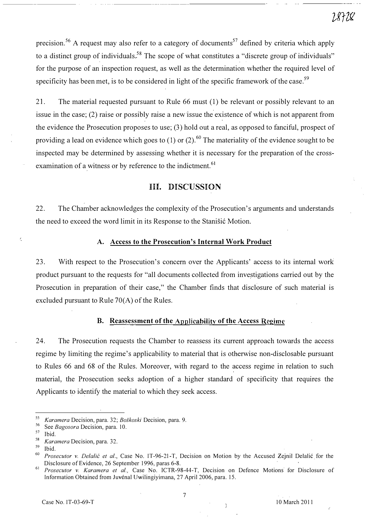precision.<sup>56</sup> A request may also refer to a category of documents<sup>57</sup> defined by criteria which apply to a distinct group of individuals.<sup>58</sup> The scope of what constitutes a "discrete group of individuals" for the purpose of an inspection request, as well as the determination whether the required level of specificity has been met, is to be considered in light of the specific framework of the case.<sup>59</sup>

21. The material requested pursuant to Rule 66 must (1) be relevant or possibly relevant to an issue in the case; (2) raise or possibly raise a new issue the existence of which is not apparent from the evidence the Prosecution proposes to use; (3) hold out a real, as opposed to fanciful, prospect of providing a lead on evidence which goes to (1) or (2).<sup>60</sup> The materiality of the evidence sought to be inspected may be determined by assessing whether it is necessary for the preparation of the crossexamination of a witness or by reference to the indictment.<sup>61</sup>

### III. DISCUSSION

22. The Chamber acknowledges the complexity of the Prosecution's arguments and understands the need to exceed the word limit in its Response to the Stanisić Motion.

#### A. Access to the Prosecution's Internal Work Product

23. With respect to the Prosecution's concern over the Applicants' access to its internal work product pursuant to the requests for "all documents collected from investigations carried out by the Prosecution in preparation of their case," the Chamber finds that disclosure of such material is excluded pursuant to Rule 70(A) of the Rules.

#### B. Reassessment of the Applicability of the Access Regime

24. The Prosecution requests the Chamber to reassess its current approach towards the access regime by limiting the regime's applicability to material that is otherwise non-disclosable pursuant to Rules 66 and 68 of the Rules. Moreover, with regard to the access regime in relation to such material, the Prosecution seeks adoption of a higher standard of specificity that requires the Applicants to identify the material to which they seek access.

<sup>&</sup>lt;sup>55</sup> Karamera Decision, para. 32; Boškoski Decision, para. 9.

 $56$  See *Bagosora* Decision, para. 10.

Ibid.

 $58$  *Karamera* Decision, para. 32.

Ibid.

 $60$  Prosecutor v. Delalić et al., Case No. IT-96-21-T, Decision on Motion by the Accused Zejnil Delalić for the Disclosure of Evidence, 26 September 1996, paras 6-S.

<sup>&</sup>lt;sup>61</sup> Prosecutor v. Karamera et al., Case No. ICTR-98-44-T, Decision on Defence Motions for Disclosure of Information Obtained from Juvenal Uwilingiyimana, 27 April 2006, para. 15.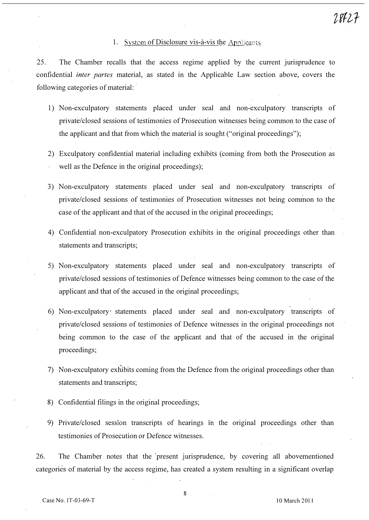#### 1. System of Disclosure vis-à-vis the Applicants

25. The Chamber recalls that the access regime applied by the current jurisprudence to confidential *inter partes* material, as stated in the Applicable Law section above, covers the following categories of material: .

- 1) Non-exculpatory statements placed under seal and non-exculpatory transcripts of private/closed sessions of testimonies of Prosecution witnesses being common to the case of the applicant and that from which the material is sought ("original proceedings");
- 2) Exculpatory confidential material including exhibits (coming from both the Prosecution as well as the Defence in the original proceedings);
- 3) Non-exculpatory statements placed under seal and non-exculpatory transcripts of private/closed sessions of testimonies of Prosecution witnesses not being common to the case of the applicant and that of the accused in the original proceedings;
- 4) Confidential non-exculpatory Prosecution exhibits in the original proceedings other than statements and transcripts;
- 5) Non-exculpatory statements placed under seal and non-exculpatory transcripts of private/closed sessions of testimonies of Defence witnesses being common to the case of the applicant and that of the accused in the original proceedings;
- . 6) Non-exculpatory' statements placed under seal and non-exculpatory transcripts. of private/closed sessions of testimonies of Defence witnesses in the original proceedings not being common to the case of the applicant and that of the accused in the original proceedings;
- 7) Non-exculpatory exhibits coming from the Defence from the original proceedings other than statements and transcripts;
- 8) Confidential filings in the original proceedings;
- 9) Private/closed session transcripts of hearings in the original proceedings other than testimonies of Prosecution or Defence witnesses.

26. The Chamber notes that the present jurisprudence, by covering all abovementioned categories of material by the access regime, has created a system resulting in a significant overlap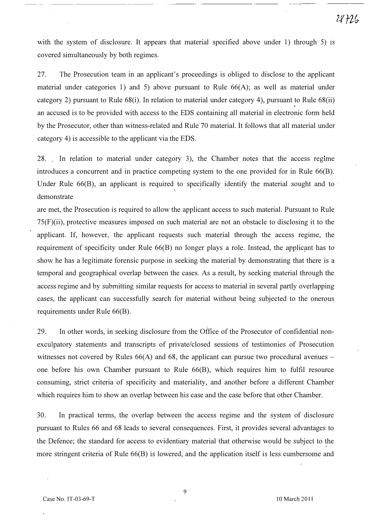with the system of disclosure. It appears that material specified above under 1) through 5) is covered simultaneously by both regimes.

27. The Prosecution team in an applicant's proceedings is obliged to disclose'to the applicant material under categories 1) and 5) above pursuant to Rule  $66(A)$ ; as well as material under category 2) pursuant to Rule 68(i). In relation to material under category 4), pursuant to Rule 68(ii) . an accused is to be provided with access to the EDS containing all material in electronic form held by the Prosecutor, other than witness-related and Rule 70 material. It follows that all material under category 4) is accessible to the applicant via the EDS.

 $28.$  In relation to material under category 3), the Chamber notes that the access regime introduces a concurrent and in practice competing system to the one provided for in Rule 66(B). Under Rule  $66(B)$ , an applicant is required to specifically identify the material sought and to d, emonstrate how that evidence is material to the preparation of his defence. The preparation of his defence.

are met, the Prosecution is required to allow the applicant access to such material. Pursuant to Rule 75(F)(ii), protective measures imposed on such material are not an obstacle to disclosing it to the applicant. If, however, the applicant requests such material through the access regime, the requirement of specificity under Rule 66(B) no longer plays a role. Instead, the applicant has to show he has a legitimate forensic purpose in seeking the material by demonstrating that there is a temporal and geographical overlap between the cases. As a result, by seeking material through the access regime and by submitting similar requests for access to material in several partly overlapping cases, the applicant can successfully search for material without being subjected to the onerous requirements under Rule 66(B).

29. In other words, in seeking disclosure from the Office of the Prosecutor of confidential nonexculpatory statements and transcripts of private/closed sessions of testimonies of Prosecution witnesses not covered by Rules  $66(A)$  and 68, the applicant can pursue two procedural avenues – one before his own Chamber pursuant to Rule 66(B), which requires him to fulfil resource consuming, strict criteria of specificity and materiality, and another before a different Chamber which requires him to show an overlap between his case and the case before that other Chamber.

30. In practical terms, the overlap between the access regime and the system of disclosure pursuant to Rules 66 and 68 leads to several consequences. First, it provides several advantages to the Defence; the standard for access to evidentiary material that otherwise would be subject to the more stringent criteria of Rule 66(B) is lowered, and the application itself is less cumbersome and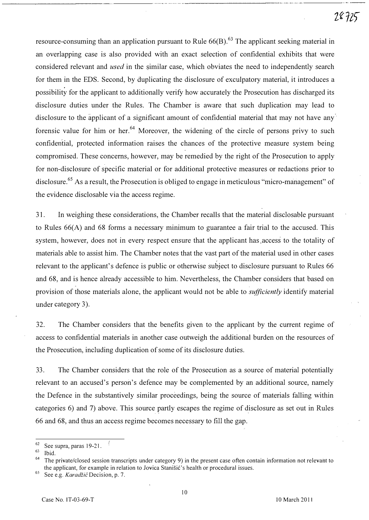resource-consuming than an application pursuant to Rule  $66(B)$ .<sup>63</sup> The applicant seeking material in an overlapping case is also provided with an exact selection of confidential exhibits that were considered relevant and used in the similar case, which obviates the need to independently search for them in the EDS. Second, by duplicating the disclosure of exculpatory material, it introduces a possibility for the applicant to additionally verify how accurately the Prosecution has discharged its disclosure duties under the Rules. The Chamber is aware that such duplication may lead to disclosure to the applicant of a significant amount of confidential material that may not have any forensic value for him or her.<sup>64</sup> Moreover, the widening of the circle of persons privy to such confidential, protected information raises the chances of the protective measure system being compromised. These concerns, however, may be remedied by the right of the Prosecution to apply for non-disclosure of specific material or for additional protective measures or redactions prior to disclosure.<sup>65</sup> As a result, the Prosecution is obliged to engage in meticulous "micro-management" of the evidence disclosable via the access regime.

3 1. In weighing these considerations, the Chamber recalls that the material disclosable pursuant to Rules 66(A) and 68 forms a necessary minimum to guarantee a fair trial to the accused. This system, however, does not in every respect ensure that the applicant has access to the totality of materials able to assist him. The Chamber notes that the vast part of the material used in other cases relevant to the applicant's defence is public or otherwise subject to disclosure pursuant to Rules 66 and 68, and is hence already accessible to him. Nevertheless, the Chamber considers that based on provision of those materials alone, the applicant would not be able to *sufficiently* identify material under category 3).

32. The Chamber considers that the benefits given to the applicant by the current regime of access to confidential materials in another case outweigh the additional burden on the resources of the Prosecution, including duplication of some of its disclosure duties.

33. The Chamber considers that the role of the Prosecution as a source of material potentially relevant to an accused's person's defence may be complemented by an additional source, namely the Defence in the substantively similar proceedings, being the source of materials falling within categories 6) and 7) above. This source partly escapes the regime of disclosure as set out in Rules 66 and 68, and thus an access regime becomes necessary to fill the gap.

 $^{62}$  See supra, paras 19-21.

Ibid.

The private/closed session transcripts under category 9) in the present case often contain information not relevant to the applicant, for example in relation to Jovica Stanišić's health or procedural issues.

<sup>&</sup>lt;sup>65</sup> See e.g. *Karadžić* Decision, p. 7.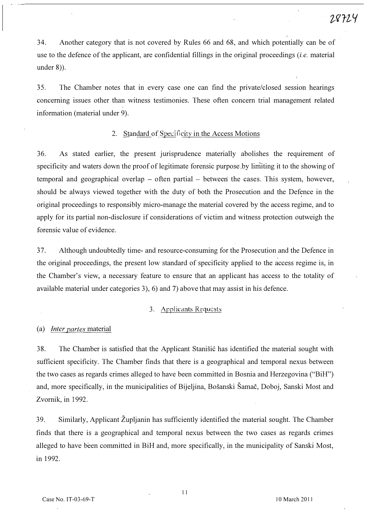34. Another category that is not covered by Rules 66 and 68, and which potentially can be of use to the defence of the applicant, are confidential fillings in the original proceedings *(i.e.* material under 8)).

35. The Chamber notes that in every case one can find the private/closed session hearings concerning issues other than witness testimonies. These often concern trial management related information (material under 9).

#### 2. Standard of Specificity in the Access Motions

36. As stated earlier, the present jurisprudence materially abolishes the requirement of specificity and waters down the proof of legitimate forensic purpose by limiting it to the showing of temporal and geographical overlap  $-$  often partial  $-$  between the cases. This system, however, should be always viewed together with the duty of both the Prosecution and the Defence in the original proceedings to responsibly micro-manage the material covered by the access regime, and to apply for its partial non-disclosure if considerations of victim and witness protection outweigh the forensic value of evidence.

37. Although undoubtedly time- and resource-consuming for the Prosecution and the Defence in the original proceedings, the present low standard of specificity applied to the access regime is, in the Chamber's view, a necessary feature to ensure that an applicant has access to the totality of available material under categories 3), 6) and 7) above that may assist in his defence.

#### 3. Applicants Requests

#### (a) Inter partes material

38. The Chamber is satisfied that the Applicant Stanišić has identified the material sought with sufficient specificity. The Chamber finds that there is a geographical and temporal nexus between the two cases as regards crimes alleged to have been committed in Bosnia and Herzegovina ("BiH") and, more specifically, in the municipalities of Bijeljina, Bosanski Samac, Doboj, Sanski Most and Zvornik, in 1992.

39. Similarly, Applicant Zupljanin has sufficiently identified the material sought. The Chamber finds that there is a geographical and temporal nexus between the two cases as regards crimes alleged to have been committed in BiH and, more specifically, in the municipality of Sanski Most, in 1992.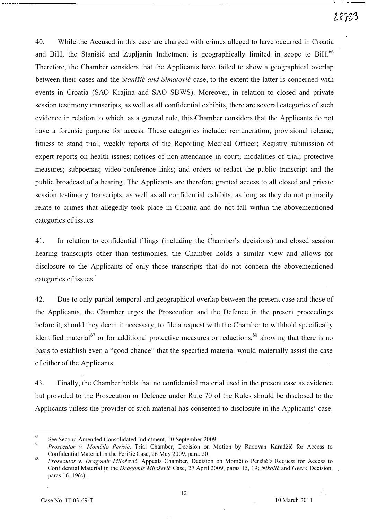40. While the Accused in this case are charged with crimes alleged to have occurred in Croatia and BiH, the Stanisic and Župljanin Indictment is geographically limited in scope to BiH.<sup>66</sup> Therefore, the Chamber considers that the Applicants have failed to show a geographical overlap between their cases and the *Stanišić and Simatović* case, to the extent the latter is concerned with events in Croatia (SAO Krajina and SAO SBWS). Moreover, in relation to closed and private session testimony transcripts, as well as all confidential exhibits, there are several categories of such evidence in relation to which, as a general rule, this Chamber considers that the Applicants do not have a forensic purpose for access. These categories include: remuneration; provisional release; fitness to stand trial; weekly reports of the Reporting Medical Officer; Registry submission of expert reports on health issues; notices of non-attendance in court; modalities of trial; protective measures; subpoenas; video-conference links; and orders to redact the public transcript and the public broadcast of a hearing. The Applicants are therefore granted access to all closed and private session testimony transcripts, as well as all confidential exhibits, as long as they do not primarily relate to crimes that allegedly took place in Croatia and do not fall within the abovementioned categories of issues.

4 1. In relation to confidential filings (including the Chamber's decisions) and closed session hearing transcripts other than testimonies, the Chamber holds a similar view and allows for disclosure to the Applicants of only those transcripts that do not concern the abovementioned categories of issues.'

42. Due to only partial temporal and geographical overlap between the present case and those of the Applicants, the Chamber urges the Prosecution and the Defence in the present proceedings before it, should they deem it necessary, to file a request with the Chamber to withhold specifically identified material<sup>67</sup> or for additional protective measures or redactions,<sup>68</sup> showing that there is no basis to establish even a "good chance" that the specified material would materially assist the case of either of the Applicants.

43. Finally, the Chamber holds that no confidential material used in the present case as evidence but provided to the Prosecution or Defence under Rule 70 of the Rules should be disclosed to the Applicants unless the provider of such material has consented to disclosure in the Applicants' case.

<sup>66</sup>  See Second Amended Consolidated Indictment, 10 September 2009.

<sup>67</sup>  Prosecutor v. Momčilo Perišić, Trial Chamber, Decision on Motion by Radovan Karadžić for Access to Confidential Material in the Perišić Case, 26 May 2009, para. 20.

<sup>68</sup>  Prosecutor v. Dragomir Milošević, Appeals Chamber, Decision on Momčilo Perišić's Request for Access to Confidential Material in the Dragomir Milošević Case, 27 April 2009, paras 15, 19; Nikolić and Gvero Decision, paras 16, 19(c).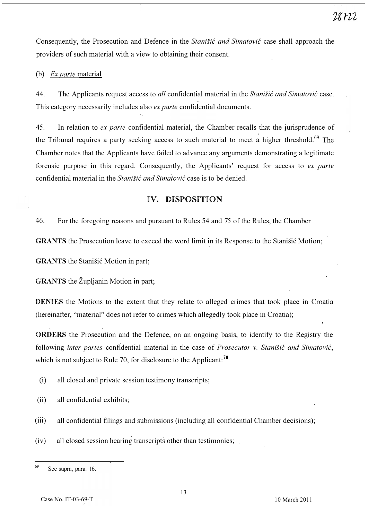Consequently, the Prosecution and Defence in the Stanistic and Simatovic case shall approach the providers of such material with a view to obtaining their consent.

#### (b) *Ex parte* material

44. The Applicants request access to all confidential material in the Stanisic and Simatovic case. This category necessarily includes also ex parte confidential documents.

45. In relation to ex parte confidential material, the Chamber recalls that the jurisprudence of the Tribunal requires a party seeking access to such material to meet a higher threshold.<sup>69</sup> The Chamber notes that the Applicants have failed to advance any arguments demonstrating a legitimate forensic purpose in this regard. Consequently, the Applicants' request for access to ex parte confidential material in the *Stanišić and Simatović* case is to be denied.

## IV. DISPOSITION

46. For the foregoing reasons and pursuant to Rules 54 and 75 of the Rules, the Chamber

GRANTS the Prosecution leave to exceed the word limit in its Response to the Stanisić Motion;

GRANTS the Stanišić Motion in part;

GRANTS the Župljanin Motion in part;

DENIES the Motions to the extent that they relate to alleged crimes that took place in Croatia (hereinafter, "material" does not refer to crimes which allegedly took place in Croatia);

ORDERS the Prosecution and the Defence, on an ongoing basis, to identify to the Registry the following inter partes confidential material in the case of Prosecutor v. Stanisic and Simatovic, which is not subject to Rule 70, for disclosure to the Applicant:<sup>70</sup>

- (i) all closed and private session testimony transcripts;
- (ii) all confidential exhibits;
- (iii) all confidential filings and submissions (including all confidential Chamber decisions);
- (iv) all closed session hearing transcripts other than testimonies;

 $69$  See supra, para. 16.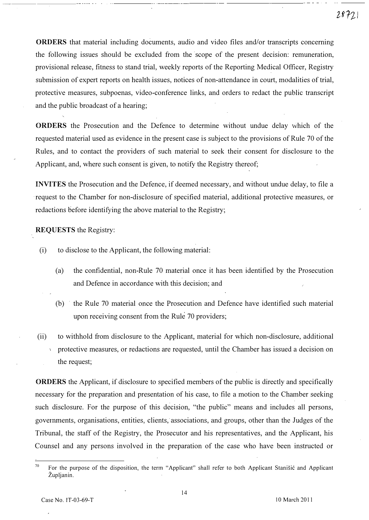28721

ORDERS that material including documents, audio and video files and/or transcripts concerning the following issues should be excluded from the scope of the present decision: remuneration, provisional release, fitness to stand trial, weekly reports of the Reporting Medical Officer, Registry submission of expert reports on health issues, notices of non-attendance in court, modalities of trial, protective measures, subpoenas, video-conference links, and orders to redact the public transcript and the public broadcast of a hearing;

ORDERS the Prosecution and the Defence to determine without undue delay which of the requested material used as evidence in the present case is subject to the provisions of Rule 70 of the Rules, and to contact the providers of such material to seek their consent for disclosure to the Applicant, and, where such consent is given, to notify the Registry thereof;

INVITES the Prosecution and the Defence, if deemed necessary, and without undue delay, to file a . request to the Chamber for non-disclosure of specified material, additional protective measures, or redactions before identifying the above material to the Registry;

#### REQUESTS the Registry:

- (i) to disclose to the Applicant, the following material:
	- (a) the confidential, non-Rule 70 material once it has been identified by the Prosecution and Defence in accordance with this decision; and
	- (b) . the Rule 70 material once the Prosecution and Defence have identified such material upon receiving consent from the Rule 70 providers;
- (ii) to withhold from disclosure to the Applicant, material for which non-disclosure, additional protective measures, or redactions are requested, until the Chamber has issued a decision on the request;

ORDERS the Applicant, if disclosure to specified members of the public is directly and specifically necessary for the preparation and presentation of his case, to file a motion to the Chamber seeking such disclosure. For the purpose of this decision, "the public" means and includes all persons, governments, organisations, entities, clients, associations, and groups, other than the Judges of the Tribunal, the staff of the Registry, the Prosecutor and his representatives, and the Applicant, his Counsel and any persons involved in the preparation of the case who have been instructed or

<sup>&</sup>lt;sup>70</sup> For the purpose of the disposition, the term "Applicant" shall refer to both Applicant Stanisić and Applicant Zupljanin.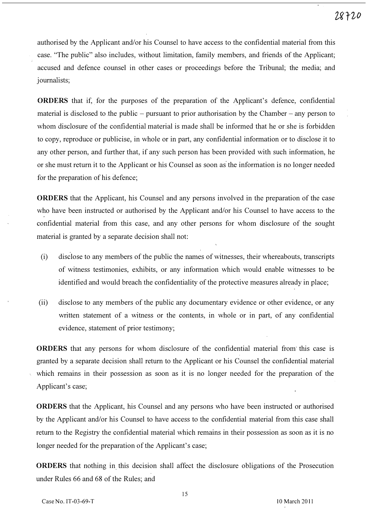authorised by the Applicant and/or his Counsel to have access to the confidential material from this case. "The public" also includes, without limitation, family members, and friends of the Applicant; accused and defence counsel in other cases or proceedings before the Tribunal; the media; and journalists;

ORDERS that if, for the purposes of the preparation of the Applicant's defence, confidential material is disclosed to the public  $-$  pursuant to prior authorisation by the Chamber  $-$  any person to whom disclosure of the confidential material is made shall be informed that he or she is forbidden to copy, reproduce or publicise, in whole or in part, any confidential information or to disclose it to any other person, and further that, if any such person has been provided with such information, he or she must return it to the Applicant or his Counsel as soon as the infonnation is no longer needed for the preparation of his defence;

ORDERS that the Applicant, his Counsel and any persons involved in the preparation of the case who have been instructed or authorised by the Applicant and/or his Counsel to have access to the confidential material from this case, and any other persons for whom disclosure of the sought material is granted by a separate decision shall not:

- (i) disclose to any members of the public the names of witnesses, their whereabouts, transcripts of witness testimonies, exhibits, or any information which would enable witnesses to be identified and would breach the confidentiality of the protective measures already in place;
- (ii) disclose to any members of the public any documentary evidence or other evidence, or any written statement of a witness or the contents, in whole or in part, of any confidential evidence, statement of prior testimony;

ORDERS that any persons for whom disclosure of the confidential material from' this case is granted by a separate decision shall return to the Applicant or his Counsel the confidential material which remains in their possession as soon as it is no longer needed for the preparation of the Applicant's case;

ORDERS that the Applicant, his Counsel and any persons who have been instructed or authorised by the Applicant and/or his Counsel to have access to the confidential material from this case shall return to the Registry the confidential material which remains in their possession as soon as it is no longer needed for the preparation of the Applicant's case;

ORDERS that nothing in this decision shall affect the disclosure obligations of the Prosecution under Rules 66 and 68 of the Rules; and